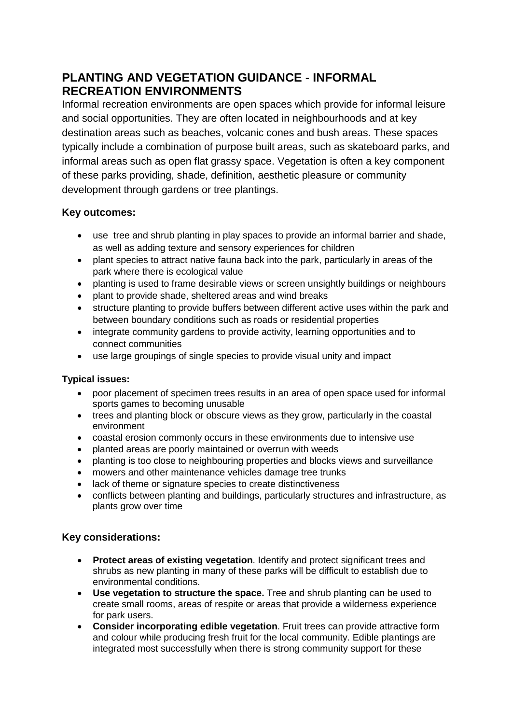# **PLANTING AND VEGETATION GUIDANCE - INFORMAL RECREATION ENVIRONMENTS**

Informal recreation environments are open spaces which provide for informal leisure and social opportunities. They are often located in neighbourhoods and at key destination areas such as beaches, volcanic cones and bush areas. These spaces typically include a combination of purpose built areas, such as skateboard parks, and informal areas such as open flat grassy space. Vegetation is often a key component of these parks providing, shade, definition, aesthetic pleasure or community development through gardens or tree plantings.

### **Key outcomes:**

- use tree and shrub planting in play spaces to provide an informal barrier and shade, as well as adding texture and sensory experiences for children
- plant species to attract native fauna back into the park, particularly in areas of the park where there is ecological value
- planting is used to frame desirable views or screen unsightly buildings or neighbours
- plant to provide shade, sheltered areas and wind breaks
- structure planting to provide buffers between different active uses within the park and between boundary conditions such as roads or residential properties
- integrate community gardens to provide activity, learning opportunities and to connect communities
- use large groupings of single species to provide visual unity and impact

#### **Typical issues:**

- poor placement of specimen trees results in an area of open space used for informal sports games to becoming unusable
- trees and planting block or obscure views as they grow, particularly in the coastal environment
- coastal erosion commonly occurs in these environments due to intensive use
- planted areas are poorly maintained or overrun with weeds
- planting is too close to neighbouring properties and blocks views and surveillance
- mowers and other maintenance vehicles damage tree trunks
- lack of theme or signature species to create distinctiveness
- conflicts between planting and buildings, particularly structures and infrastructure, as plants grow over time

## **Key considerations:**

- **Protect areas of existing vegetation**. Identify and protect significant trees and shrubs as new planting in many of these parks will be difficult to establish due to environmental conditions.
- **Use vegetation to structure the space.** Tree and shrub planting can be used to create small rooms, areas of respite or areas that provide a wilderness experience for park users.
- **Consider incorporating edible vegetation**. Fruit trees can provide attractive form and colour while producing fresh fruit for the local community. Edible plantings are integrated most successfully when there is strong community support for these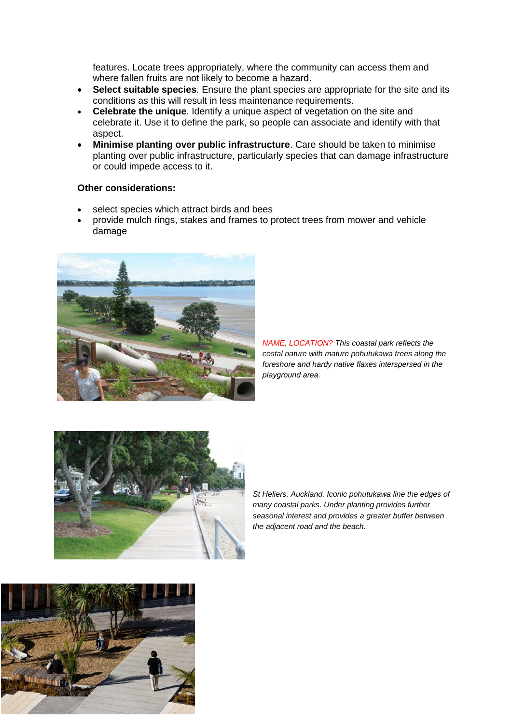features. Locate trees appropriately, where the community can access them and where fallen fruits are not likely to become a hazard.

- **Select suitable species**. Ensure the plant species are appropriate for the site and its conditions as this will result in less maintenance requirements.
- **Celebrate the unique**. Identify a unique aspect of vegetation on the site and celebrate it. Use it to define the park, so people can associate and identify with that aspect.
- **Minimise planting over public infrastructure**. Care should be taken to minimise planting over public infrastructure, particularly species that can damage infrastructure or could impede access to it.

#### **Other considerations:**

- select species which attract birds and bees
- provide mulch rings, stakes and frames to protect trees from mower and vehicle damage



*NAME, LOCATION? This coastal park reflects the costal nature with mature pohutukawa trees along the foreshore and hardy native flaxes interspersed in the playground area.* 



*St Heliers, Auckland. Iconic pohutukawa line the edges of many coastal parks. Under planting provides further seasonal interest and provides a greater buffer between the adjacent road and the beach.*